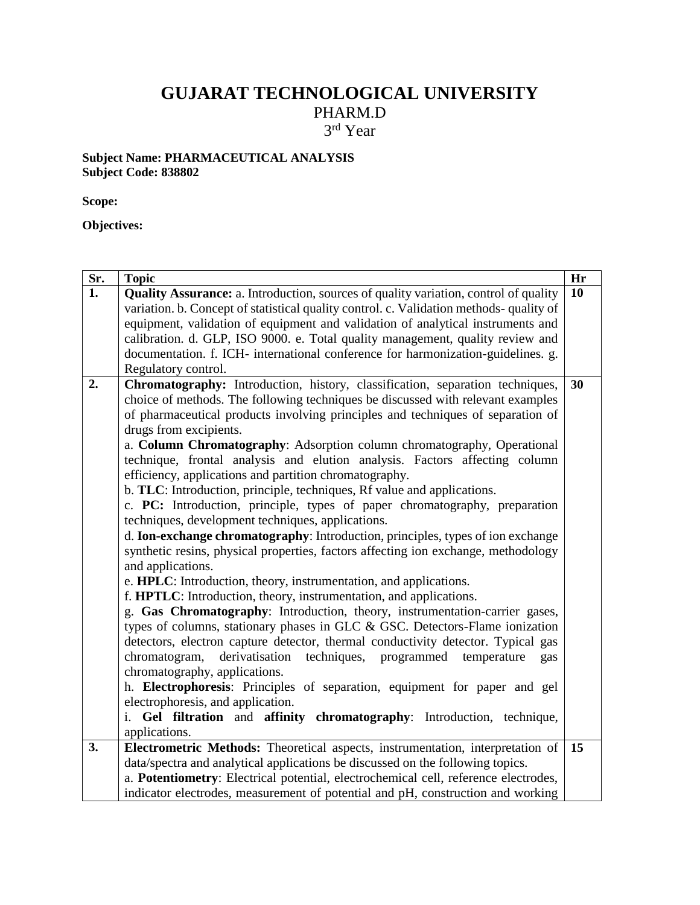# **GUJARAT TECHNOLOGICAL UNIVERSITY**

PHARM.D

3 rd Year

#### **Subject Name: PHARMACEUTICAL ANALYSIS Subject Code: 838802**

**Scope:** 

**Objectives:**

| Sr. | <b>Topic</b>                                                                                | Hr |  |  |  |  |  |
|-----|---------------------------------------------------------------------------------------------|----|--|--|--|--|--|
| 1.  | <b>Quality Assurance:</b> a. Introduction, sources of quality variation, control of quality | 10 |  |  |  |  |  |
|     | variation. b. Concept of statistical quality control. c. Validation methods- quality of     |    |  |  |  |  |  |
|     | equipment, validation of equipment and validation of analytical instruments and             |    |  |  |  |  |  |
|     | calibration. d. GLP, ISO 9000. e. Total quality management, quality review and              |    |  |  |  |  |  |
|     | documentation. f. ICH- international conference for harmonization-guidelines. g.            |    |  |  |  |  |  |
|     | Regulatory control.                                                                         |    |  |  |  |  |  |
| 2.  | Chromatography: Introduction, history, classification, separation techniques,               | 30 |  |  |  |  |  |
|     | choice of methods. The following techniques be discussed with relevant examples             |    |  |  |  |  |  |
|     | of pharmaceutical products involving principles and techniques of separation of             |    |  |  |  |  |  |
|     | drugs from excipients.                                                                      |    |  |  |  |  |  |
|     | a. Column Chromatography: Adsorption column chromatography, Operational                     |    |  |  |  |  |  |
|     | technique, frontal analysis and elution analysis. Factors affecting column                  |    |  |  |  |  |  |
|     | efficiency, applications and partition chromatography.                                      |    |  |  |  |  |  |
|     | b. TLC: Introduction, principle, techniques, Rf value and applications.                     |    |  |  |  |  |  |
|     | c. PC: Introduction, principle, types of paper chromatography, preparation                  |    |  |  |  |  |  |
|     | techniques, development techniques, applications.                                           |    |  |  |  |  |  |
|     | d. Ion-exchange chromatography: Introduction, principles, types of ion exchange             |    |  |  |  |  |  |
|     | synthetic resins, physical properties, factors affecting ion exchange, methodology          |    |  |  |  |  |  |
|     | and applications.                                                                           |    |  |  |  |  |  |
|     | e. HPLC: Introduction, theory, instrumentation, and applications.                           |    |  |  |  |  |  |
|     | f. HPTLC: Introduction, theory, instrumentation, and applications.                          |    |  |  |  |  |  |
|     | g. Gas Chromatography: Introduction, theory, instrumentation-carrier gases,                 |    |  |  |  |  |  |
|     | types of columns, stationary phases in GLC & GSC. Detectors-Flame ionization                |    |  |  |  |  |  |
|     | detectors, electron capture detector, thermal conductivity detector. Typical gas            |    |  |  |  |  |  |
|     | chromatogram,<br>derivatisation<br>techniques, programmed temperature<br>gas                |    |  |  |  |  |  |
|     | chromatography, applications.                                                               |    |  |  |  |  |  |
|     | h. Electrophoresis: Principles of separation, equipment for paper and gel                   |    |  |  |  |  |  |
|     | electrophoresis, and application.                                                           |    |  |  |  |  |  |
|     | Gel filtration and affinity chromatography: Introduction, technique,                        |    |  |  |  |  |  |
|     | applications.                                                                               |    |  |  |  |  |  |
| 3.  | Electrometric Methods: Theoretical aspects, instrumentation, interpretation of              | 15 |  |  |  |  |  |
|     | data/spectra and analytical applications be discussed on the following topics.              |    |  |  |  |  |  |
|     | a. Potentiometry: Electrical potential, electrochemical cell, reference electrodes,         |    |  |  |  |  |  |
|     | indicator electrodes, measurement of potential and pH, construction and working             |    |  |  |  |  |  |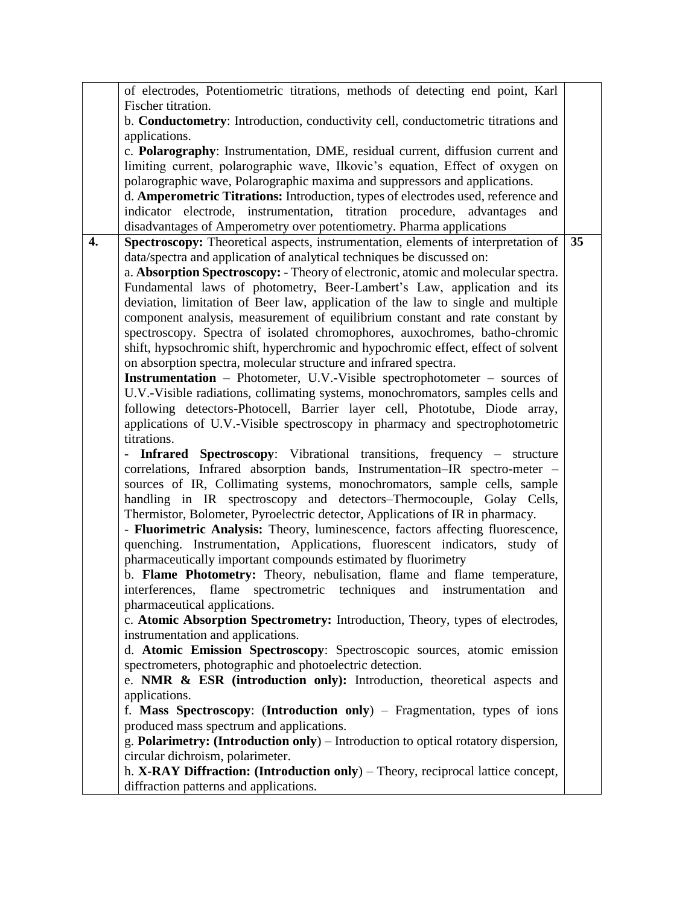|    | of electrodes, Potentiometric titrations, methods of detecting end point, Karl     |    |
|----|------------------------------------------------------------------------------------|----|
|    | Fischer titration.                                                                 |    |
|    | b. Conductometry: Introduction, conductivity cell, conductometric titrations and   |    |
|    | applications.                                                                      |    |
|    | c. Polarography: Instrumentation, DME, residual current, diffusion current and     |    |
|    | limiting current, polarographic wave, Ilkovic's equation, Effect of oxygen on      |    |
|    | polarographic wave, Polarographic maxima and suppressors and applications.         |    |
|    | d. Amperometric Titrations: Introduction, types of electrodes used, reference and  |    |
|    | indicator electrode, instrumentation, titration procedure, advantages<br>and       |    |
|    | disadvantages of Amperometry over potentiometry. Pharma applications               |    |
| 4. | Spectroscopy: Theoretical aspects, instrumentation, elements of interpretation of  | 35 |
|    | data/spectra and application of analytical techniques be discussed on:             |    |
|    | a. Absorption Spectroscopy: - Theory of electronic, atomic and molecular spectra.  |    |
|    | Fundamental laws of photometry, Beer-Lambert's Law, application and its            |    |
|    | deviation, limitation of Beer law, application of the law to single and multiple   |    |
|    | component analysis, measurement of equilibrium constant and rate constant by       |    |
|    | spectroscopy. Spectra of isolated chromophores, auxochromes, batho-chromic         |    |
|    | shift, hypsochromic shift, hyperchromic and hypochromic effect, effect of solvent  |    |
|    |                                                                                    |    |
|    | on absorption spectra, molecular structure and infrared spectra.                   |    |
|    | <b>Instrumentation</b> – Photometer, U.V.-Visible spectrophotometer – sources of   |    |
|    | U.V.-Visible radiations, collimating systems, monochromators, samples cells and    |    |
|    | following detectors-Photocell, Barrier layer cell, Phototube, Diode array,         |    |
|    | applications of U.V.-Visible spectroscopy in pharmacy and spectrophotometric       |    |
|    | titrations.                                                                        |    |
|    | Infrared Spectroscopy: Vibrational transitions, frequency - structure              |    |
|    | correlations, Infrared absorption bands, Instrumentation-IR spectro-meter -        |    |
|    | sources of IR, Collimating systems, monochromators, sample cells, sample           |    |
|    | handling in IR spectroscopy and detectors-Thermocouple, Golay Cells,               |    |
|    | Thermistor, Bolometer, Pyroelectric detector, Applications of IR in pharmacy.      |    |
|    | - Fluorimetric Analysis: Theory, luminescence, factors affecting fluorescence,     |    |
|    | quenching. Instrumentation, Applications, fluorescent indicators, study of         |    |
|    | pharmaceutically important compounds estimated by fluorimetry                      |    |
|    | b. Flame Photometry: Theory, nebulisation, flame and flame temperature,            |    |
|    | interferences, flame spectrometric techniques and instrumentation and              |    |
|    | pharmaceutical applications.                                                       |    |
|    | c. Atomic Absorption Spectrometry: Introduction, Theory, types of electrodes,      |    |
|    | instrumentation and applications.                                                  |    |
|    | d. Atomic Emission Spectroscopy: Spectroscopic sources, atomic emission            |    |
|    | spectrometers, photographic and photoelectric detection.                           |    |
|    | e. NMR $\&$ ESR (introduction only): Introduction, theoretical aspects and         |    |
|    | applications.                                                                      |    |
|    | f. Mass Spectroscopy: (Introduction only) – Fragmentation, types of ions           |    |
|    | produced mass spectrum and applications.                                           |    |
|    | g. Polarimetry: (Introduction only) – Introduction to optical rotatory dispersion, |    |
|    | circular dichroism, polarimeter.                                                   |    |
|    | h. X-RAY Diffraction: (Introduction only) – Theory, reciprocal lattice concept,    |    |
|    | diffraction patterns and applications.                                             |    |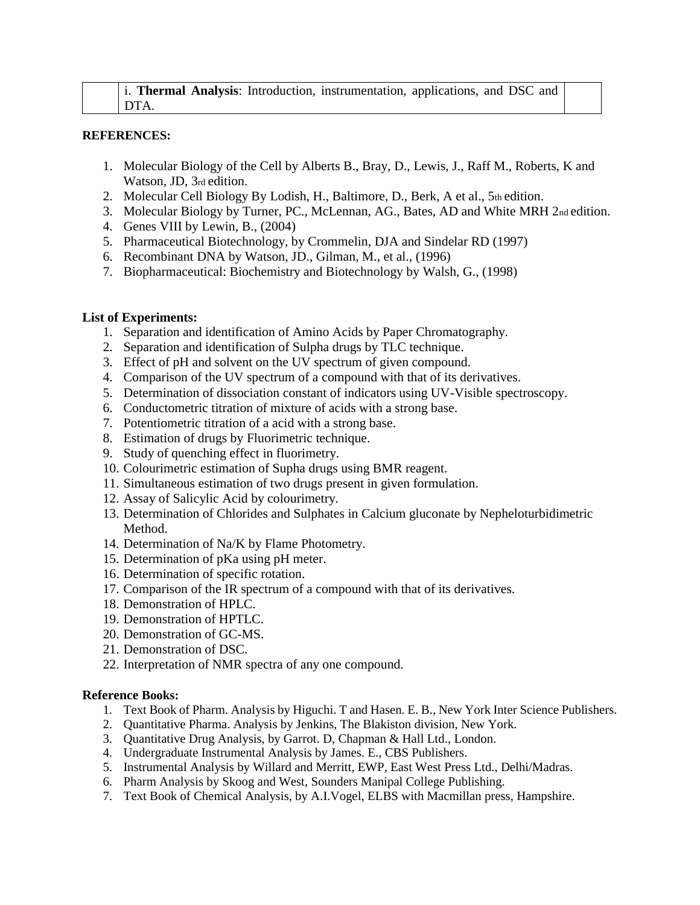|      |  | i. Thermal Analysis: Introduction, instrumentation, applications, and DSC and |  |  |
|------|--|-------------------------------------------------------------------------------|--|--|
| DTA. |  |                                                                               |  |  |

### **REFERENCES:**

- 1. Molecular Biology of the Cell by Alberts B., Bray, D., Lewis, J., Raff M., Roberts, K and Watson, JD, 3rd edition.
- 2. Molecular Cell Biology By Lodish, H., Baltimore, D., Berk, A et al., 5th edition.
- 3. Molecular Biology by Turner, PC., McLennan, AG., Bates, AD and White MRH 2nd edition.
- 4. Genes VIII by Lewin, B., (2004)
- 5. Pharmaceutical Biotechnology, by Crommelin, DJA and Sindelar RD (1997)
- 6. Recombinant DNA by Watson, JD., Gilman, M., et al., (1996)
- 7. Biopharmaceutical: Biochemistry and Biotechnology by Walsh, G., (1998)

## **List of Experiments:**

- 1. Separation and identification of Amino Acids by Paper Chromatography.
- 2. Separation and identification of Sulpha drugs by TLC technique.
- 3. Effect of pH and solvent on the UV spectrum of given compound.
- 4. Comparison of the UV spectrum of a compound with that of its derivatives.
- 5. Determination of dissociation constant of indicators using UV-Visible spectroscopy.
- 6. Conductometric titration of mixture of acids with a strong base.
- 7. Potentiometric titration of a acid with a strong base.
- 8. Estimation of drugs by Fluorimetric technique.
- 9. Study of quenching effect in fluorimetry.
- 10. Colourimetric estimation of Supha drugs using BMR reagent.
- 11. Simultaneous estimation of two drugs present in given formulation.
- 12. Assay of Salicylic Acid by colourimetry.
- 13. Determination of Chlorides and Sulphates in Calcium gluconate by Nepheloturbidimetric Method.
- 14. Determination of Na/K by Flame Photometry.
- 15. Determination of pKa using pH meter.
- 16. Determination of specific rotation.
- 17. Comparison of the IR spectrum of a compound with that of its derivatives.
- 18. Demonstration of HPLC.
- 19. Demonstration of HPTLC.
- 20. Demonstration of GC-MS.
- 21. Demonstration of DSC.
- 22. Interpretation of NMR spectra of any one compound.

### **Reference Books:**

- 1. Text Book of Pharm. Analysis by Higuchi. T and Hasen. E. B., New York Inter Science Publishers.
- 2. Quantitative Pharma. Analysis by Jenkins, The Blakiston division, New York.
- 3. Quantitative Drug Analysis, by Garrot. D, Chapman & Hall Ltd., London.
- 4. Undergraduate Instrumental Analysis by James. E., CBS Publishers.
- 5. Instrumental Analysis by Willard and Merritt, EWP, East West Press Ltd., Delhi/Madras.
- 6. Pharm Analysis by Skoog and West, Sounders Manipal College Publishing.
- 7. Text Book of Chemical Analysis, by A.I.Vogel, ELBS with Macmillan press, Hampshire.